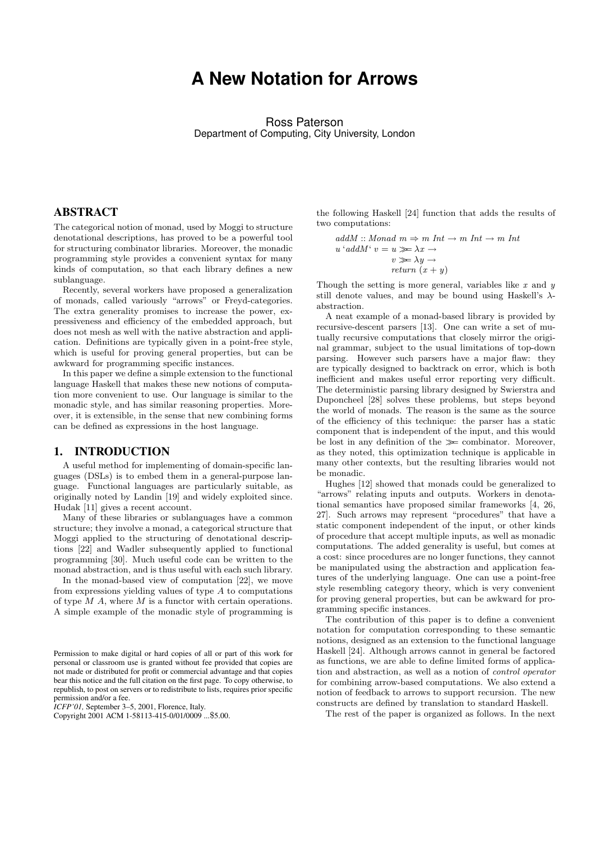# **A New Notation for Arrows**

Ross Paterson Department of Computing, City University, London

## ABSTRACT

The categorical notion of monad, used by Moggi to structure denotational descriptions, has proved to be a powerful tool for structuring combinator libraries. Moreover, the monadic programming style provides a convenient syntax for many kinds of computation, so that each library defines a new sublanguage.

Recently, several workers have proposed a generalization of monads, called variously "arrows" or Freyd-categories. The extra generality promises to increase the power, expressiveness and efficiency of the embedded approach, but does not mesh as well with the native abstraction and application. Definitions are typically given in a point-free style, which is useful for proving general properties, but can be awkward for programming specific instances.

In this paper we define a simple extension to the functional language Haskell that makes these new notions of computation more convenient to use. Our language is similar to the monadic style, and has similar reasoning properties. Moreover, it is extensible, in the sense that new combining forms can be defined as expressions in the host language.

## 1. INTRODUCTION

A useful method for implementing of domain-specific languages (DSLs) is to embed them in a general-purpose language. Functional languages are particularly suitable, as originally noted by Landin [19] and widely exploited since. Hudak [11] gives a recent account.

Many of these libraries or sublanguages have a common structure; they involve a monad, a categorical structure that Moggi applied to the structuring of denotational descriptions [22] and Wadler subsequently applied to functional programming [30]. Much useful code can be written to the monad abstraction, and is thus useful with each such library.

In the monad-based view of computation [22], we move from expressions yielding values of type  $A$  to computations of type  $M$   $A$ , where  $M$  is a functor with certain operations. A simple example of the monadic style of programming is

*ICFP'01,* September 3–5, 2001, Florence, Italy.

Copyright 2001 ACM 1-58113-415-0/01/0009 ...\$5.00.

the following Haskell [24] function that adds the results of two computations:

 $addM :: Monad \, m \Rightarrow m \, Int \rightarrow m \, Int \rightarrow m \, Int$  $u \text{ }^{\iota} a d d M \text{ }^{\iota} v = u \ggg \lambda x \rightarrow$  $v \ggg \lambda y \rightarrow$ return  $(x + y)$ 

Though the setting is more general, variables like  $x$  and  $y$ still denote values, and may be bound using Haskell's  $\lambda$ abstraction.

A neat example of a monad-based library is provided by recursive-descent parsers [13]. One can write a set of mutually recursive computations that closely mirror the original grammar, subject to the usual limitations of top-down parsing. However such parsers have a major flaw: they are typically designed to backtrack on error, which is both inefficient and makes useful error reporting very difficult. The deterministic parsing library designed by Swierstra and Duponcheel [28] solves these problems, but steps beyond the world of monads. The reason is the same as the source of the efficiency of this technique: the parser has a static component that is independent of the input, and this would be lost in any definition of the  $\gg$  combinator. Moreover, as they noted, this optimization technique is applicable in many other contexts, but the resulting libraries would not be monadic.

Hughes [12] showed that monads could be generalized to "arrows" relating inputs and outputs. Workers in denotational semantics have proposed similar frameworks [4, 26, 27]. Such arrows may represent "procedures" that have a static component independent of the input, or other kinds of procedure that accept multiple inputs, as well as monadic computations. The added generality is useful, but comes at a cost: since procedures are no longer functions, they cannot be manipulated using the abstraction and application features of the underlying language. One can use a point-free style resembling category theory, which is very convenient for proving general properties, but can be awkward for programming specific instances.

The contribution of this paper is to define a convenient notation for computation corresponding to these semantic notions, designed as an extension to the functional language Haskell [24]. Although arrows cannot in general be factored as functions, we are able to define limited forms of application and abstraction, as well as a notion of control operator for combining arrow-based computations. We also extend a notion of feedback to arrows to support recursion. The new constructs are defined by translation to standard Haskell.

The rest of the paper is organized as follows. In the next

Permission to make digital or hard copies of all or part of this work for personal or classroom use is granted without fee provided that copies are not made or distributed for profit or commercial advantage and that copies bear this notice and the full citation on the first page. To copy otherwise, to republish, to post on servers or to redistribute to lists, requires prior specific permission and/or a fee.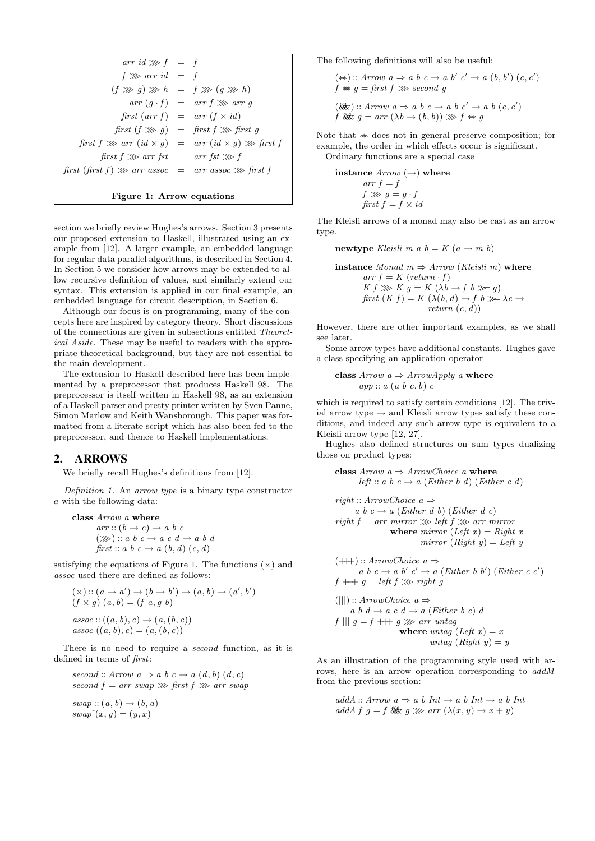| $arr \, id \ggg f = f$                                         |                                         |
|----------------------------------------------------------------|-----------------------------------------|
| $f \gg \text{arr} \text{ id } = f$                             |                                         |
| $(f \gg g) \gg h = f \gg (g \gg h)$                            |                                         |
|                                                                | $arr (q \cdot f) = arr f \gg arr q$     |
| first $(\text{arr } f) = \text{arr } (f \times id)$            |                                         |
|                                                                | $first (f \gg g) = first f \gg first g$ |
| first $f \gg arr (id \times q) = arr (id \times q) \gg frst f$ |                                         |
| first $f \ggar r fst = arr fst \gg f$                          |                                         |
| first $(first f) \gg arr$ assoc = $arr$ assoc $\gg$ first f    |                                         |
|                                                                |                                         |

Figure 1: Arrow equations

section we briefly review Hughes's arrows. Section 3 presents our proposed extension to Haskell, illustrated using an example from [12]. A larger example, an embedded language for regular data parallel algorithms, is described in Section 4. In Section 5 we consider how arrows may be extended to allow recursive definition of values, and similarly extend our syntax. This extension is applied in our final example, an embedded language for circuit description, in Section 6.

Although our focus is on programming, many of the concepts here are inspired by category theory. Short discussions of the connections are given in subsections entitled Theoretical Aside. These may be useful to readers with the appropriate theoretical background, but they are not essential to the main development.

The extension to Haskell described here has been implemented by a preprocessor that produces Haskell 98. The preprocessor is itself written in Haskell 98, as an extension of a Haskell parser and pretty printer written by Sven Panne, Simon Marlow and Keith Wansborough. This paper was formatted from a literate script which has also been fed to the preprocessor, and thence to Haskell implementations.

#### 2. ARROWS

We briefly recall Hughes's definitions from [12].

Definition 1. An arrow type is a binary type constructor a with the following data:

class Arrow a where  $arr :: (b \rightarrow c) \rightarrow a \ b \ c$  $(\ggg)$ ::  $a$   $b$   $c$   $\rightarrow$   $a$   $c$   $d$   $\rightarrow$   $a$   $b$   $d$ first :: a b  $c \rightarrow a$   $(b, d)$   $(c, d)$ 

satisfying the equations of Figure 1. The functions  $(\times)$  and assoc used there are defined as follows:

$$
(\times) :: (a \rightarrow a') \rightarrow (b \rightarrow b') \rightarrow (a, b) \rightarrow (a', b')
$$
  
( $f \times g$ )  $(a, b) = (f a, g b)$   
assoc ::  $((a, b), c) \rightarrow (a, (b, c))$ 

assoc  $((a, b), c) = (a, (b, c))$ 

There is no need to require a *second* function, as it is defined in terms of first:

second :: Arrow  $a \Rightarrow a b c \rightarrow a (d, b) (d, c)$ second  $f = arr swap \gg first f \gg arr swap$ 

 $swap :: (a, b) \rightarrow (b, a)$  $swap^*(x, y) = (y, x)$ 

The following definitions will also be useful:

$$
(**): Arrow a \Rightarrow a b c \rightarrow a b' c' \rightarrow a (b, b') (c, c')
$$
  

$$
f \ast g = first f \gg second g
$$
  

$$
(\&c): Arrow a \Rightarrow a b c \rightarrow a b c' \rightarrow a b (c, c')
$$
  

$$
f \&c g = arr (\lambda b \rightarrow (b, b)) \gg f \ast g
$$

Note that ∗∗ does not in general preserve composition; for example, the order in which effects occur is significant. Ordinary functions are a special case

instance  $Arrow (\rightarrow)$  where arr  $f = f$  $f \ggg g = g \cdot f$ first  $f = f \times id$ 

The Kleisli arrows of a monad may also be cast as an arrow type.

newtype Kleisli m a  $b = K (a \rightarrow m b)$ 

instance Monad  $m \Rightarrow Arrow \ (Kleisli \ m)$  where arr  $f = K$  (return  $\cdot f$ )  $K f \gg K g = K (\lambda b \rightarrow f b \gg g)$ first  $(K f) = K (\lambda(b, d) \rightarrow f b \gg \lambda c \rightarrow$ return  $(c, d)$ 

However, there are other important examples, as we shall see later.

Some arrow types have additional constants. Hughes gave a class specifying an application operator

**class** Arrow 
$$
a \Rightarrow ArrowApply \ a \ where
$$
  
app ::  $a \ (a \ b \ c, b) \ c$ 

which is required to satisfy certain conditions [12]. The trivial arrow type  $\rightarrow$  and Kleisli arrow types satisfy these conditions, and indeed any such arrow type is equivalent to a Kleisli arrow type [12, 27].

Hughes also defined structures on sum types dualizing those on product types:

class  $Arrow a \Rightarrow ArrowChoice a$  where left :: a b  $c \rightarrow a$  (Either b d) (Either c d)

right :: ArrowChoice 
$$
a \Rightarrow
$$
  
\n $a b c \rightarrow a$  (Either d b) (Either d c)  
\nright  $f = arr$  mirror  $\gg$  left  $f \gg arr$  mirror  
\nwhere mirror (Left x) = Right x  
\nmirror (Right y) = Left y  
\n(+++) :: ArrowChoice  $a \Rightarrow$   
\n $a b c \rightarrow a b' c' \rightarrow a$  (Either b b') (Either c c')

$$
a \ b \ c \rightarrow a \ b' \ c' \rightarrow a \ (Either \ b \ b') \ (Either \ c \ c')
$$
  

$$
f \ + \ + \ g = left \ f \gg \ right \ g
$$

$$
(|||): ArowChoice a \Rightarrow
$$
  
a b d \rightarrow a c d \rightarrow a (Either b c) d  
f ||| g = f +\n# g \gg arr untag  
where untag (Left x) = x  
untag (Right y) = y

As an illustration of the programming style used with arrows, here is an arrow operation corresponding to addM from the previous section:

$$
addA::Arrow\ a \Rightarrow a\ b\ Int \rightarrow a\ b\ Int \rightarrow a\ b\ Int
$$

$$
addA\ f\ g = f\ \&\ g \ggg\ arr\ (\lambda(x,y) \rightarrow x+y)
$$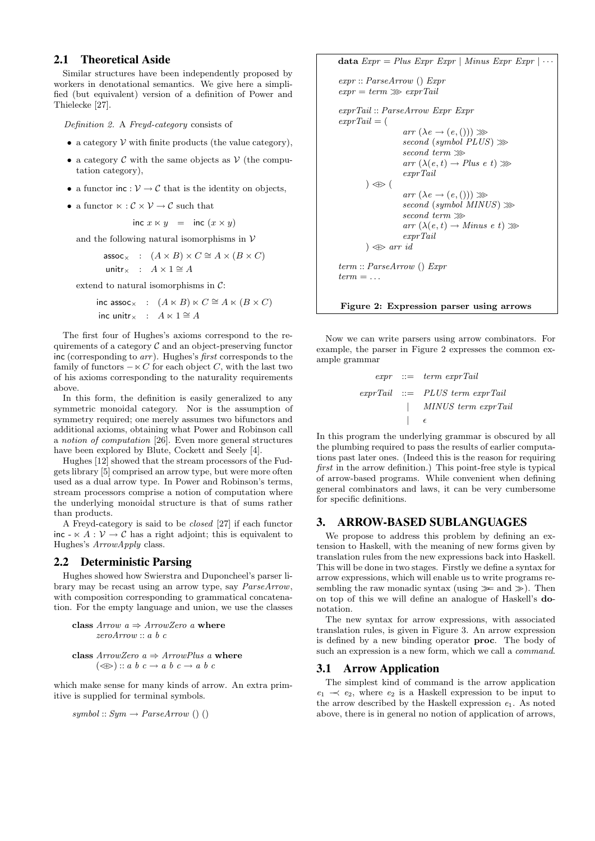# 2.1 Theoretical Aside

Similar structures have been independently proposed by workers in denotational semantics. We give here a simplified (but equivalent) version of a definition of Power and Thielecke [27].

Definition 2. A Freyd-category consists of

- a category  $V$  with finite products (the value category),
- a category  $\mathcal C$  with the same objects as  $\mathcal V$  (the computation category),
- a functor inc :  $V \to C$  that is the identity on objects,
- a functor  $\ltimes : \mathcal{C} \times \mathcal{V} \to \mathcal{C}$  such that

inc  $x \ltimes y =$  inc  $(x \times y)$ 

and the following natural isomorphisms in  $V$ 

```
\textsf{assoc}_\times : (A \times B) \times C \cong A \times (B \times C)unitr\times : A \times 1 \cong A
```
extend to natural isomorphisms in  $C$ :

$$
\begin{array}{ll}\n\text{inc assoc}_{\times} & \colon & (A \ltimes B) \ltimes C \cong A \ltimes (B \times C) \\
\text{inc unit}_{\times} & \colon & A \ltimes 1 \cong A\n\end{array}
$$

The first four of Hughes's axioms correspond to the requirements of a category  $\mathcal C$  and an object-preserving functor inc (corresponding to arr ). Hughes's first corresponds to the family of functors  $-\ltimes C$  for each object C, with the last two of his axioms corresponding to the naturality requirements above.

In this form, the definition is easily generalized to any symmetric monoidal category. Nor is the assumption of symmetry required; one merely assumes two bifunctors and additional axioms, obtaining what Power and Robinson call a notion of computation [26]. Even more general structures have been explored by Blute, Cockett and Seely [4].

Hughes [12] showed that the stream processors of the Fudgets library [5] comprised an arrow type, but were more often used as a dual arrow type. In Power and Robinson's terms, stream processors comprise a notion of computation where the underlying monoidal structure is that of sums rather than products.

A Freyd-category is said to be closed [27] if each functor inc  $-k \times A : \mathcal{V} \to \mathcal{C}$  has a right adjoint; this is equivalent to Hughes's ArrowApply class.

## 2.2 Deterministic Parsing

Hughes showed how Swierstra and Duponcheel's parser library may be recast using an arrow type, say ParseArrow, with composition corresponding to grammatical concatenation. For the empty language and union, we use the classes

```
class Arrow a \Rightarrow ArrowZero\ a where
      zeroArrow :: a b c
class ArrowZero a \Rightarrow ArrowPlus a where
```

```
(\Leftrightarrow) :: a b c \rightarrow a b c \rightarrow a b c
```
which make sense for many kinds of arrow. An extra primitive is supplied for terminal symbols.

```
symbol::Sym \rightarrow ParseArrow () ()
```

```
data Expr = Plus Expr Expr \mid Minus Expr Expr \mid \cdotsexpr :: ParseArrow () Expr
expr = term \gg exprTailexprTail :: ParseArrow Expr Expr
exprTail = (arr (\lambda e \rightarrow (e,))) \ggsecond (symbol PLUS) ≫
                   second term ≫
                   arr (\lambda(e, t) \rightarrow Plus \ e \ t) \ggexprTail
        ) \Leftrightarrow (arr (\lambda e \rightarrow (e,))) \ggsecond (symbol MINUS) ≫
                   second term ≫
                   arr (\lambda(e, t) \rightarrow Minus e t) \ggexprTail) \Leftrightarrow arr \, idterm :: ParseArrow () Expr
term = \ldots
```
Figure 2: Expression parser using arrows

Now we can write parsers using arrow combinators. For example, the parser in Figure 2 expresses the common example grammar

$$
expr ::= term \text{ }exprTail
$$
\n
$$
exprTail ::= \text{ }PLUS \text{ }term \text{ }exprTail
$$
\n
$$
|\text{ } MINUS \text{ }term \text{ }exprTail
$$
\n
$$
|\text{ } \epsilon
$$

In this program the underlying grammar is obscured by all the plumbing required to pass the results of earlier computations past later ones. (Indeed this is the reason for requiring first in the arrow definition.) This point-free style is typical of arrow-based programs. While convenient when defining general combinators and laws, it can be very cumbersome for specific definitions.

# 3. ARROW-BASED SUBLANGUAGES

We propose to address this problem by defining an extension to Haskell, with the meaning of new forms given by translation rules from the new expressions back into Haskell. This will be done in two stages. Firstly we define a syntax for arrow expressions, which will enable us to write programs resembling the raw monadic syntax (using  $\gg$  and  $\gg$ ). Then on top of this we will define an analogue of Haskell's donotation.

The new syntax for arrow expressions, with associated translation rules, is given in Figure 3. An arrow expression is defined by a new binding operator proc. The body of such an expression is a new form, which we call a *command*.

#### 3.1 Arrow Application

The simplest kind of command is the arrow application  $e_1 \rightarrow e_2$ , where  $e_2$  is a Haskell expression to be input to the arrow described by the Haskell expression  $e_1$ . As noted above, there is in general no notion of application of arrows,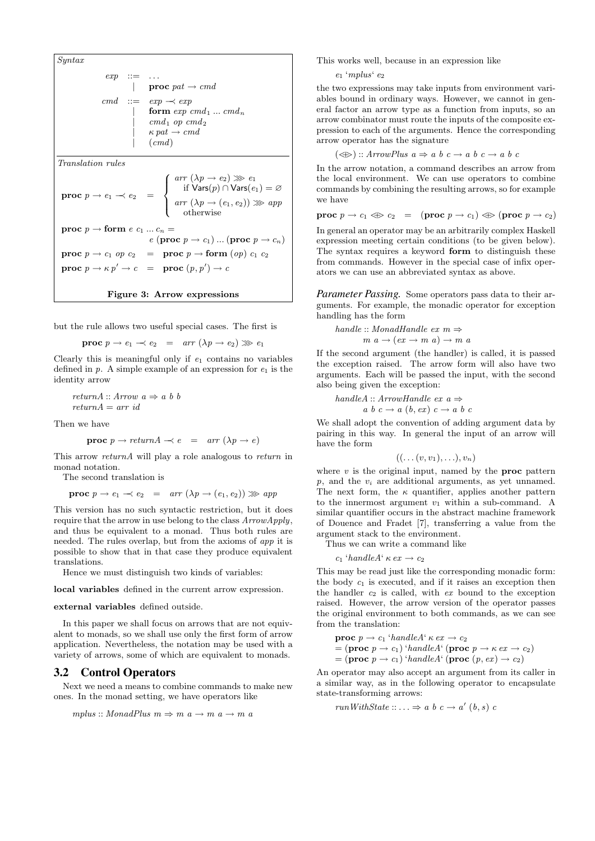Syntax  $\mathit{exp}$   $::=$ | proc pat  $\rightarrow$  cmd cmd  $::=$  exp  $\rightarrow$  exp form  $exp\ cmd_1 \dots cmd_n$  $cmd_1$  op  $cmd_2$  $\kappa$  pat  $\rightarrow$  cmd  $(cmd)$ Translation rules **proc**  $p \rightarrow e_1 \rightarrow e_2 =$  $\sqrt{ }$  $\int$  $\downarrow$  $arr (\lambda p \rightarrow e_2) \gg e_1$  $\mathrm{if}\ \mathsf{Vars}(p) \cap \mathsf{Vars}(e_1) = \varnothing$  $arr (\lambda p \rightarrow (e_1, e_2)) \gg p p$ otherwise proc  $p \rightarrow$  form  $e$   $c_1 \dots c_n =$  $e \text{ (proc } p \rightarrow c_1) \dots \text{ (proc } p \rightarrow c_n)$ **proc**  $p \rightarrow c_1$  op  $c_2$  = **proc**  $p \rightarrow$  form  $(op)$   $c_1$   $c_2$  $\mathbf{proc}\ p \rightarrow \kappa\ p' \rightarrow c = \mathbf{proc}\ (p, p') \rightarrow c$ Figure 3: Arrow expressions

but the rule allows two useful special cases. The first is

**proc**  $p \rightarrow e_1 \rightarrow e_2 = arr(\lambda p \rightarrow e_2) \gg g_1$ 

Clearly this is meaningful only if  $e_1$  contains no variables defined in  $p$ . A simple example of an expression for  $e_1$  is the identity arrow

returnA :: Arrow  $a \Rightarrow a b b$  $return A = arr \, id$ 

Then we have

$$
proc p \rightarrow return A \rightarrow e = arr (\lambda p \rightarrow e)
$$

This arrow returnA will play a role analogous to return in monad notation.

The second translation is

**proc**  $p \rightarrow e_1 \rightarrow e_2 = arr(\lambda p \rightarrow (e_1, e_2)) \gg p p p$ 

This version has no such syntactic restriction, but it does require that the arrow in use belong to the class ArrowApply, and thus be equivalent to a monad. Thus both rules are needed. The rules overlap, but from the axioms of app it is possible to show that in that case they produce equivalent translations.

Hence we must distinguish two kinds of variables:

local variables defined in the current arrow expression.

#### external variables defined outside.

In this paper we shall focus on arrows that are not equivalent to monads, so we shall use only the first form of arrow application. Nevertheless, the notation may be used with a variety of arrows, some of which are equivalent to monads.

## 3.2 Control Operators

Next we need a means to combine commands to make new ones. In the monad setting, we have operators like

$$
mplus :: MonadPlus \ m \Rightarrow m \ a \rightarrow m \ a \rightarrow m
$$

This works well, because in an expression like

 $e_1$  'mplus'  $e_2$ 

the two expressions may take inputs from environment variables bound in ordinary ways. However, we cannot in general factor an arrow type as a function from inputs, so an arrow combinator must route the inputs of the composite expression to each of the arguments. Hence the corresponding arrow operator has the signature

 $(\Leftrightarrow)$ :: ArrowPlus  $a \Rightarrow a b c \rightarrow a b c \rightarrow a b c$ 

In the arrow notation, a command describes an arrow from the local environment. We can use operators to combine commands by combining the resulting arrows, so for example we have

proc  $p \rightarrow c_1 \Leftrightarrow c_2 = (\text{proc } p \rightarrow c_1) \Leftrightarrow (\text{proc } p \rightarrow c_2)$ 

In general an operator may be an arbitrarily complex Haskell expression meeting certain conditions (to be given below). The syntax requires a keyword form to distinguish these from commands. However in the special case of infix operators we can use an abbreviated syntax as above.

*Parameter Passing.* Some operators pass data to their arguments. For example, the monadic operator for exception handling has the form

handle :: MonadHandle ex  $m \Rightarrow$  $m\ a \rightarrow (ex \rightarrow m\ a) \rightarrow m\ a$ 

If the second argument (the handler) is called, it is passed the exception raised. The arrow form will also have two arguments. Each will be passed the input, with the second also being given the exception:

$$
handleA :: ArrowHandle ex a \Rightarrow a b c \rightarrow a (b, ex) c \rightarrow a b c
$$

We shall adopt the convention of adding argument data by pairing in this way. In general the input of an arrow will have the form

$$
((\ldots (v, v_1), \ldots), v_n)
$$

where  $v$  is the original input, named by the **proc** pattern  $p$ , and the  $v_i$  are additional arguments, as yet unnamed. The next form, the  $\kappa$  quantifier, applies another pattern to the innermost argument  $v_1$  within a sub-command. A similar quantifier occurs in the abstract machine framework of Douence and Fradet [7], transferring a value from the argument stack to the environment.

Thus we can write a command like

$$
c_1 \text{ 'handleA' } \kappa \text{ } ex \rightarrow \text{ } c_2
$$

This may be read just like the corresponding monadic form: the body  $c_1$  is executed, and if it raises an exception then the handler  $c_2$  is called, with  $ex$  bound to the exception raised. However, the arrow version of the operator passes the original environment to both commands, as we can see from the translation:

$$
\begin{array}{l}\n\mathbf{proc}\ p \rightarrow c_1 \ 'handleA' \ \kappa\ ex \rightarrow c_2 \\
=(\mathbf{proc}\ p \rightarrow c_1) \ 'handleA' \ (\mathbf{proc}\ p \rightarrow \kappa\ ex \rightarrow c_2) \\
=(\mathbf{proc}\ p \rightarrow c_1) \ 'handleA' \ (\mathbf{proc}\ (p, ex) \rightarrow c_2)\n\end{array}
$$

An operator may also accept an argument from its caller in a similar way, as in the following operator to encapsulate state-transforming arrows:

runWithState  $\cdots \Rightarrow a \; b \; c \rightarrow a' \; (b, s) \; c$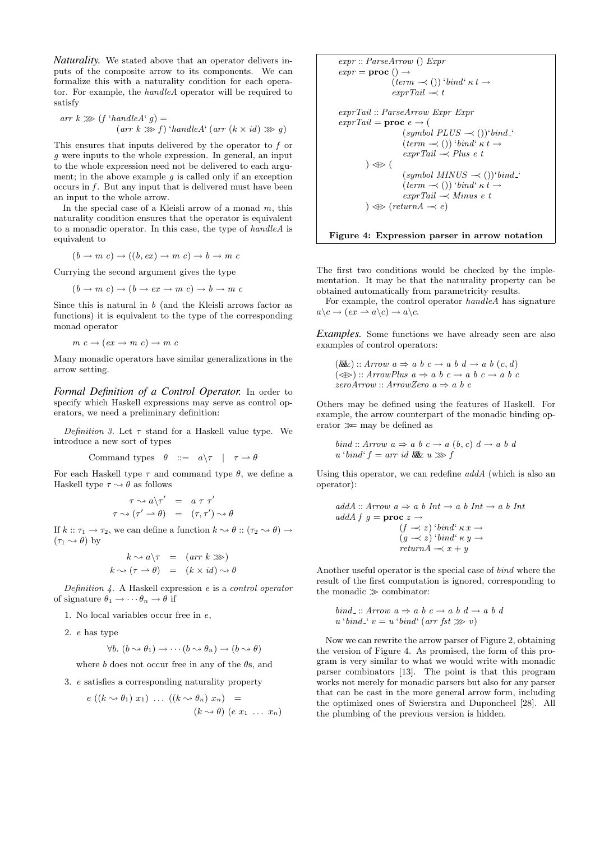*Naturality.* We stated above that an operator delivers inputs of the composite arrow to its components. We can formalize this with a naturality condition for each operator. For example, the handleA operator will be required to satisfy

$$
arr k \ggg (f 'handleA' g) =
$$
  

$$
(arr k \ggg f ) 'handleA' (arr (k \times id) \ggg g)
$$

This ensures that inputs delivered by the operator to f or g were inputs to the whole expression. In general, an input to the whole expression need not be delivered to each argument; in the above example  $g$  is called only if an exception occurs in  $f$ . But any input that is delivered must have been an input to the whole arrow.

In the special case of a Kleisli arrow of a monad  $m$ , this naturality condition ensures that the operator is equivalent to a monadic operator. In this case, the type of handleA is equivalent to

$$
(b \to m \ c) \to ((b, ex) \to m \ c) \to b \to m \ c
$$

Currying the second argument gives the type

$$
(b \to m \ c) \to (b \to ex \to m \ c) \to b \to m \ c
$$

Since this is natural in  $b$  (and the Kleisli arrows factor as functions) it is equivalent to the type of the corresponding monad operator

 $m\ c \rightarrow (ex \rightarrow m\ c) \rightarrow m\ c$ 

Many monadic operators have similar generalizations in the arrow setting.

*Formal Definition of a Control Operator.* In order to specify which Haskell expressions may serve as control operators, we need a preliminary definition:

Definition 3. Let  $\tau$  stand for a Haskell value type. We introduce a new sort of types

Command types  $\theta$  ::=  $a \setminus \tau$  |  $\tau \to \theta$ 

For each Haskell type  $\tau$  and command type  $\theta$ , we define a Haskell type  $\tau \sim \theta$  as follows

$$
\tau \leadsto a \backslash \tau' = a \tau \tau'
$$
  

$$
\tau \leadsto (\tau' \rightarrow \theta) = (\tau, \tau') \leadsto \theta
$$

If  $k : \tau_1 \to \tau_2$ , we can define a function  $k \to \theta : (\tau_2 \to \theta) \to$  $(\tau_1 \rightsquigarrow \theta)$  by

$$
k \rightsquigarrow a \backslash \tau = (arr \ k \gg)
$$
  

$$
k \rightsquigarrow (\tau \rightarrow \theta) = (k \times id) \rightsquigarrow \theta
$$

Definition 4. A Haskell expression e is a control operator of signature  $\theta_1 \rightarrow \cdots \theta_n \rightarrow \theta$  if

1. No local variables occur free in e,

2. e has type

$$
\forall b. \ (b \rightsquigarrow \theta_1) \rightarrow \cdots (b \rightsquigarrow \theta_n) \rightarrow (b \rightsquigarrow \theta)
$$

where b does not occur free in any of the  $\theta$ s, and

3. e satisfies a corresponding naturality property

$$
e ((k \rightsquigarrow \theta_1) x_1) \cdots ((k \rightsquigarrow \theta_n) x_n) =
$$
  

$$
(k \rightsquigarrow \theta) (e x_1 \cdots x_n)
$$

expr :: ParseArrow () Expr  $expr = \mathbf{proc} () \rightarrow$  $(term \rightarrow ())' bind' \kappa t \rightarrow$  $exprTail \rightarrow t$ exprTail :: ParseArrow Expr Expr  $exprTail = \textbf{proc} e \rightarrow ($  $(symbol$  PLUS  $\rightarrow$  ())'bind\_  $(\text{term} \rightarrow ()')' \text{bind'} \overset{\sim}{\kappa} \overset{\sim}{t} \rightarrow$ exprTail  $\rightarrow$  Plus e t  $) \Leftrightarrow ($  $(symbol$  MINUS  $\rightarrow$  ())'bind\_  $(term \rightarrow ())' bind' \kappa t \rightarrow$ exprTail −≺ Minus e t  $\Rightarrow$  (returnA  $\rightarrow$  e)

The first two conditions would be checked by the implementation. It may be that the naturality property can be obtained automatically from parametricity results.

Figure 4: Expression parser in arrow notation

For example, the control operator handleA has signature  $a \backslash c \rightarrow (ex \rightarrow a \backslash c) \rightarrow a \backslash c.$ 

*Examples.* Some functions we have already seen are also examples of control operators:

 $(\&c) :: Arrow a \Rightarrow a b c \rightarrow a b d \rightarrow a b (c, d)$  $(\Leftrightarrow)$  :: ArrowPlus  $a \Rightarrow a b c \rightarrow a b c \rightarrow a b c$  $zeroArrow :: ArrowZero a \Rightarrow a b c$ 

Others may be defined using the features of Haskell. For example, the arrow counterpart of the monadic binding operator  $\gg$  may be defined as

bind :: Arrow 
$$
a \Rightarrow a b c \rightarrow a (b, c) d \rightarrow a b d
$$
  
u 'bind'  $f = arr id$  88x  $u \ggg f$ 

Using this operator, we can redefine  $addA$  (which is also an operator):

$$
addA::Arrow \ a \Rightarrow a \ b \ Int \rightarrow a \ b \ Int \rightarrow a \ b \ Int
$$

$$
addA f \ g = \textbf{proc} \ z \rightarrow
$$

$$
(f \rightarrow z)' \text{ 'bind' } \kappa \ x \rightarrow
$$

$$
(g \rightarrow z)' \text{ 'bind' } \kappa \ y \rightarrow
$$

$$
return A \rightarrow x + y
$$

Another useful operator is the special case of bind where the result of the first computation is ignored, corresponding to the monadic  $\gg$  combinator:

$$
bind_-::Arrow\ a \Rightarrow a\ b\ c \rightarrow a\ b\ d \rightarrow a\ b\ d
$$

$$
u\ 'bind\ ' \ v = u\ 'bind'\ (arr \,fst \ggg v)
$$

Now we can rewrite the arrow parser of Figure 2, obtaining the version of Figure 4. As promised, the form of this program is very similar to what we would write with monadic parser combinators [13]. The point is that this program works not merely for monadic parsers but also for any parser that can be cast in the more general arrow form, including the optimized ones of Swierstra and Duponcheel [28]. All the plumbing of the previous version is hidden.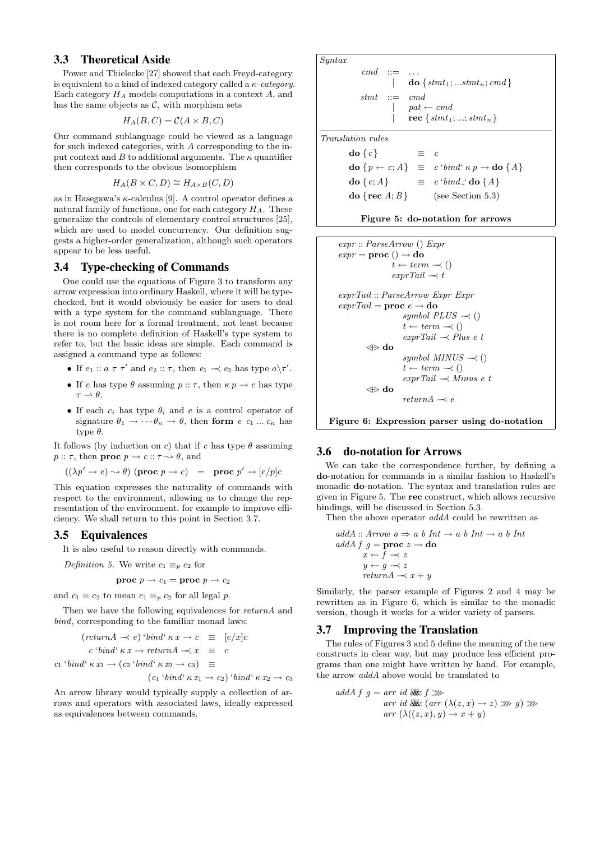# 3.3 Theoretical Aside

Power and Thielecke [27] showed that each Freyd-category is equivalent to a kind of indexed category called a  $\kappa$ -category. Each category  $H_A$  models computations in a context  $A$ , and has the same objects as  $C$ , with morphism sets

$$
H_A(B, C) = \mathcal{C}(A \times B, C)
$$

Our command sublanguage could be viewed as a language for such indexed categories, with  ${\cal A}$  corresponding to the input context and B to additional arguments. The  $\kappa$  quantifier then corresponds to the obvious isomorphism

$$
H_A(B \times C, D) \cong H_{A \times B}(C, D)
$$

as in Hasegawa's  $\kappa$ -calculus [9]. A control operator defines a natural family of functions, one for each category  $H_A$ . These generalize the controls of elementary control structures [25], which are used to model concurrency. Our definition suggests a higher-order generalization, although such operators appear to be less useful.

#### 3.4 Type-checking of Commands

One could use the equations of Figure 3 to transform any arrow expression into ordinary Haskell, where it will be typechecked, but it would obviously be easier for users to deal with a type system for the command sublanguage. There is not room here for a formal treatment, not least because there is no complete definition of Haskell's type system to refer to, but the basic ideas are simple. Each command is assigned a command type as follows:

- If  $e_1 :: a \tau \tau'$  and  $e_2 :: \tau$ , then  $e_1 \to e_2$  has type  $a \setminus \tau'$ .
- If c has type  $\theta$  assuming  $p :: \tau$ , then  $\kappa p \to c$  has type  $\tau \rightharpoonup \theta$ .
- If each  $c_i$  has type  $\theta_i$  and e is a control operator of signature  $\theta_1 \rightarrow \cdots \theta_n \rightarrow \theta$ , then form  $e \ c_1 \ldots c_n$  has type  $\theta$ .

It follows (by induction on c) that if c has type  $\theta$  assuming  $p :: \tau$ , then **proc**  $p \to c :: \tau \leadsto \theta$ , and

$$
((\lambda p' \to e) \leadsto \theta) \text{ (proc } p \to c) = \text{proc } p' \to [e/p]c
$$

This equation expresses the naturality of commands with respect to the environment, allowing us to change the representation of the environment, for example to improve efficiency. We shall return to this point in Section 3.7.

#### 3.5 Equivalences

It is also useful to reason directly with commands.

*Definition 5.* We write  $c_1 \equiv_p c_2$  for

$$
proc p \rightarrow c_1 = proc p \rightarrow c_2
$$

and  $c_1 \equiv c_2$  to mean  $c_1 \equiv_p c_2$  for all legal p.

Then we have the following equivalences for returnA and bind, corresponding to the familiar monad laws:

$$
(return A \rightarrow e) 'bind' \kappa x \rightarrow c \equiv [e/x]c
$$
  

$$
c 'bind' \kappa x \rightarrow return A \rightarrow x \equiv c
$$
  

$$
c_1 'bind' \kappa x_1 \rightarrow (c_2 'bind' \kappa x_2 \rightarrow c_3) \equiv
$$

 $(c_1 'bind' \kappa x_1 \rightarrow c_2)' bind' \kappa x_2 \rightarrow c_3$ 

An arrow library would typically supply a collection of arrows and operators with associated laws, ideally expressed as equivalences between commands.





```
expr :: ParseArrow () Expr
expr = \mathbf{proc} () \rightarrow \mathbf{do}t \leftarrow term \rightarrow ()exprTail \rightarrow texprTail :: ParseArrow Expr Expr
exprTail = \mathbf{proc} e \rightarrow \mathbf{do}symbol PLUS \rightarrow ()t \leftarrow term \rightarrow ()exprTail \rightarrow Plus e t
           \Leftrightarrow do
                         symbol MINUS \rightarrow ()
                         t \leftarrow term \rightarrow ()exprTail \rightarrow Minus e t
           <+> do
                         return A \rightarrow e
```
Figure 6: Expression parser using do-notation

#### 3.6 do-notation for Arrows

We can take the correspondence further, by defining a do-notation for commands in a similar fashion to Haskell's monadic do-notation. The syntax and translation rules are given in Figure 5. The rec construct, which allows recursive bindings, will be discussed in Section 5.3.

Then the above operator  $addA$  could be rewritten as

$$
addA :: Arrow a \Rightarrow a b Int \rightarrow a b Int \rightarrow a b Int
$$
  

$$
addA f g = \textbf{proc} z \rightarrow \textbf{do}
$$
  

$$
x \leftarrow f \rightarrow z
$$
  

$$
y \leftarrow g \rightarrow z
$$
  
return  $A \rightarrow x + y$ 

Similarly, the parser example of Figures 2 and 4 may be rewritten as in Figure 6, which is similar to the monadic version, though it works for a wider variety of parsers.

#### 3.7 Improving the Translation

The rules of Figures 3 and 5 define the meaning of the new constructs in clear way, but may produce less efficient programs than one might have written by hand. For example, the arrow addA above would be translated to

$$
addA f g = arr id \& t \gg
$$
\n
$$
arr id \& (arr (\lambda(z, x) \rightarrow z) \gg g) \gg
$$
\n
$$
arr (\lambda((z, x), y) \rightarrow x + y)
$$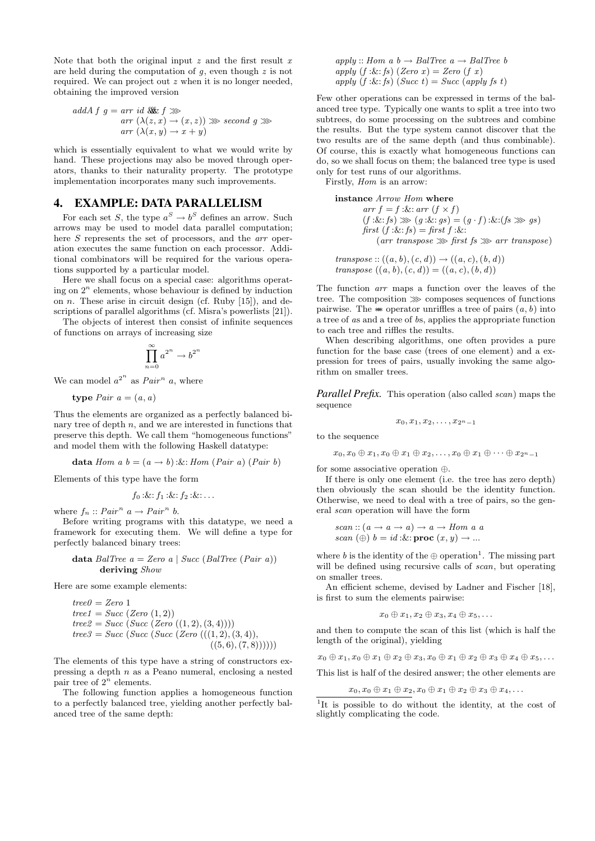Note that both the original input  $z$  and the first result  $x$ are held during the computation of  $g$ , even though  $z$  is not required. We can project out z when it is no longer needed, obtaining the improved version

addA f g = arr id &c\n
$$
f \gg
$$
\n $\text{arr } (\lambda(z, x) \to (x, z)) \gg \text{second } g \gg$ \n $\text{arr } (\lambda(x, y) \to x + y)$ 

which is essentially equivalent to what we would write by hand. These projections may also be moved through operators, thanks to their naturality property. The prototype implementation incorporates many such improvements.

## 4. EXAMPLE: DATA PARALLELISM

For each set S, the type  $a^S \rightarrow b^S$  defines an arrow. Such arrows may be used to model data parallel computation; here S represents the set of processors, and the *arr* operation executes the same function on each processor. Additional combinators will be required for the various operations supported by a particular model.

Here we shall focus on a special case: algorithms operating on  $2^n$  elements, whose behaviour is defined by induction on  $n$ . These arise in circuit design (cf. Ruby [15]), and descriptions of parallel algorithms (cf. Misra's powerlists [21]).

The objects of interest then consist of infinite sequences of functions on arrays of increasing size

$$
\prod_{n=0}^{\infty} a^{2^n} \to b^{2^n}
$$

We can model  $a^{2^n}$  as  $Pair^n$  a, where

$$
type \; Pair \; a = (a, a)
$$

Thus the elements are organized as a perfectly balanced binary tree of depth  $n$ , and we are interested in functions that preserve this depth. We call them "homogeneous functions" and model them with the following Haskell datatype:

**data** *Hom* 
$$
a
$$
  $b$  =  $(a \rightarrow b)$ :&: *Hom (Pair*  $a)$  *(Pair*  $b)$ 

Elements of this type have the form

$$
f_0:\&:f_1:\&:f_2:\&:\dots
$$

where  $f_n$ :  $Pair^n$   $a \rightarrow Pair^n$   $b$ .

Before writing programs with this datatype, we need a framework for executing them. We will define a type for perfectly balanced binary trees:

#### data BalTree  $a = Zero\ a \mid Succ\ (BalTree\ (Pair\ a))$ deriving Show

Here are some example elements:

$$
tree0 = Zero 1
$$
  
\n
$$
tree1 = Succ (Zero (1, 2))
$$
  
\n
$$
tree2 = Succ (Succ (Zero ((1, 2), (3, 4))))
$$
  
\n
$$
tree3 = Succ (Succ (Succ (Zero ((1, 2), (3, 4)),
$$
  
\n
$$
((5, 6), (7, 8))))))
$$

The elements of this type have a string of constructors expressing a depth  $n$  as a Peano numeral, enclosing a nested pair tree of  $2^n$  elements.

The following function applies a homogeneous function to a perfectly balanced tree, yielding another perfectly balanced tree of the same depth:

 $apply :: Hom \, a \, b \rightarrow BallTree \, a \rightarrow BallTree \, b$ apply  $(f \mathbin{:} \& \mathbin{:} f s)$   $(Zero\ x) = Zero\ (f\ x)$ apply  $(f \mathbin{:} \& :fs)$   $(Succ t) = Succ (apply fs t)$ 

Few other operations can be expressed in terms of the balanced tree type. Typically one wants to split a tree into two subtrees, do some processing on the subtrees and combine the results. But the type system cannot discover that the two results are of the same depth (and thus combinable). Of course, this is exactly what homogeneous functions can do, so we shall focus on them; the balanced tree type is used only for test runs of our algorithms.

Firstly, Hom is an arrow:

instance Arrow Hom where arr  $f = f : \&: arr \ (f \times f)$  $(f \mathpunct{:} \& :fs) \ggg (g \mathpunct{:} \& :gs) = (g \cdot f) \mathpunct{:} \& : (fs \ggg gs)$ first  $(f \cdot \& :fs) = \text{first } f \cdot \& :$  $(arr transpose \gg first fs \gg arr transpose)$ 

transpose ::  $((a, b), (c, d)) \rightarrow ((a, c), (b, d))$ transpose  $((a, b), (c, d)) = ((a, c), (b, d))$ 

The function arr maps a function over the leaves of the tree. The composition ≫ composes sequences of functions pairwise. The • ∞• operator unriffles a tree of pairs  $(a, b)$  into a tree of as and a tree of bs, applies the appropriate function to each tree and riffles the results.

When describing algorithms, one often provides a pure function for the base case (trees of one element) and a expression for trees of pairs, usually invoking the same algorithm on smaller trees.

*Parallel Prefix.* This operation (also called *scan*) maps the sequence

$$
x_0,x_1,x_2,\ldots,x_{2^n-1}
$$

to the sequence

$$
x_0, x_0 \oplus x_1, x_0 \oplus x_1 \oplus x_2, \ldots, x_0 \oplus x_1 \oplus \cdots \oplus x_{2^n-1}
$$

for some associative operation ⊕.

If there is only one element (i.e. the tree has zero depth) then obviously the scan should be the identity function. Otherwise, we need to deal with a tree of pairs, so the general scan operation will have the form

$$
scan :: (a \rightarrow a \rightarrow a) \rightarrow a \rightarrow Hom \ a \ a
$$
  
scan  $(\oplus)$  b = id  $\mathpunct{:}k$ : **proc**  $(x, y) \rightarrow \dots$ 

where b is the identity of the  $\oplus$  operation<sup>1</sup>. The missing part will be defined using recursive calls of scan, but operating on smaller trees.

An efficient scheme, devised by Ladner and Fischer [18], is first to sum the elements pairwise:

 $x_0 \oplus x_1, x_2 \oplus x_3, x_4 \oplus x_5, \ldots$ 

and then to compute the scan of this list (which is half the length of the original), yielding

 $x_0 \oplus x_1, x_0 \oplus x_1 \oplus x_2 \oplus x_3, x_0 \oplus x_1 \oplus x_2 \oplus x_3 \oplus x_4 \oplus x_5, \ldots$ 

This list is half of the desired answer; the other elements are

 $x_0, x_0 \oplus x_1 \oplus x_2, x_0 \oplus x_1 \oplus x_2 \oplus x_3 \oplus x_4, \ldots$ 

<sup>&</sup>lt;sup>1</sup>It is possible to do without the identity, at the cost of slightly complicating the code.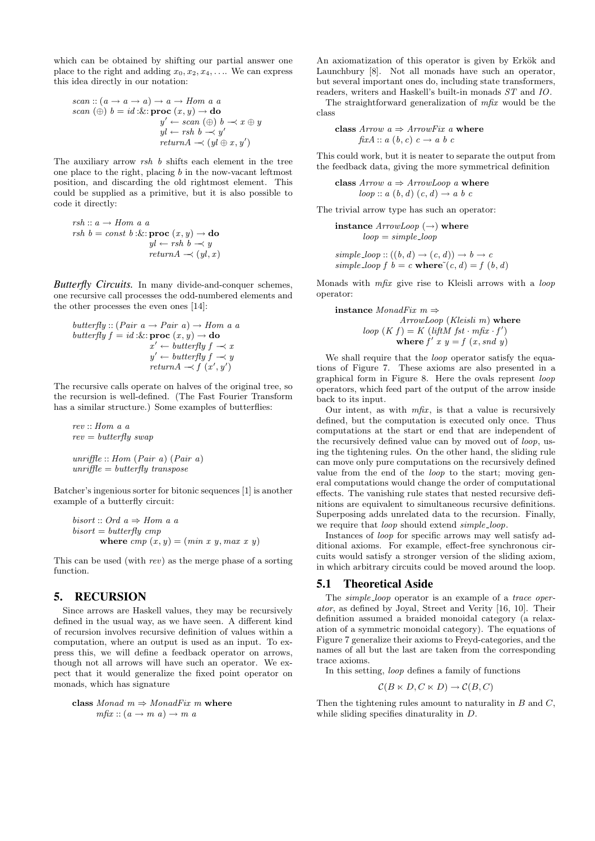which can be obtained by shifting our partial answer one place to the right and adding  $x_0, x_2, x_4, \ldots$  We can express this idea directly in our notation:

$$
scan :: (a \rightarrow a \rightarrow a) \rightarrow a \rightarrow Hom \ a \ a
$$
  
\n
$$
scan (\oplus) \ b = id : \& : \textbf{proc} (x, y) \rightarrow \textbf{do}
$$
  
\n
$$
y' \leftarrow scan (\oplus) \ b \rightarrow x \oplus y
$$
  
\n
$$
yl \leftarrow rsh \ b \rightarrow y'
$$
  
\n
$$
return A \rightarrow (yl \oplus x, y')
$$

The auxiliary arrow *rsh b* shifts each element in the tree one place to the right, placing b in the now-vacant leftmost position, and discarding the old rightmost element. This could be supplied as a primitive, but it is also possible to code it directly:

 $rsh :: a \rightarrow Hom \ a \ a$ rsh  $b = const\ b$ :  $\&$ : proc  $(x, y) \rightarrow$  do  $yl \leftarrow$  rsh b  $\rightarrow$  y  $return A \rightarrow (yl, x)$ 

*Butterfly Circuits.* In many divide-and-conquer schemes, one recursive call processes the odd-numbered elements and the other processes the even ones [14]:

$$
butterfly :: (Pair\ a \rightarrow Pair\ a) \rightarrow Hom\ a\ a
$$
\n
$$
butterfly\ f = id : \&: \mathbf{proc}\ (x, y) \rightarrow \mathbf{do}
$$
\n
$$
x' \leftarrow butterfly\ f \rightarrow x
$$
\n
$$
y' \leftarrow butterfly\ f \rightarrow y
$$
\n
$$
return A \rightarrow f\ (x', y')
$$

The recursive calls operate on halves of the original tree, so the recursion is well-defined. (The Fast Fourier Transform has a similar structure.) Some examples of butterflies:

$$
\begin{array}{l} rev::Hom\ a\ a\\ rev= butterfly\ swap \end{array}
$$

unriffle  $:: Hom (Pair a) (Pair a)$  $unriffle = butterfly transpose$ 

Batcher's ingenious sorter for bitonic sequences [1] is another example of a butterfly circuit:

$$
bisort :: Ord \ a \Rightarrow Hom \ a \ a
$$
\n
$$
bisort = butterfly \ cmp
$$
\nwhere  $cmp(x, y) = (min \ x \ y, max \ x \ y)$ 

This can be used (with rev) as the merge phase of a sorting function.

## 5. RECURSION

Since arrows are Haskell values, they may be recursively defined in the usual way, as we have seen. A different kind of recursion involves recursive definition of values within a computation, where an output is used as an input. To express this, we will define a feedback operator on arrows, though not all arrows will have such an operator. We expect that it would generalize the fixed point operator on monads, which has signature

**class** Monad 
$$
m \Rightarrow MonadFix \ m
$$
 where  
 $mfix :: (a \rightarrow m \ a) \rightarrow m \ a$ 

An axiomatization of this operator is given by Erkök and Launchbury [8]. Not all monads have such an operator, but several important ones do, including state transformers, readers, writers and Haskell's built-in monads ST and IO.

The straightforward generalization of  $m\hat{p}x$  would be the class

class Arrow  $a \Rightarrow ArrowFix a$  where  $\operatorname{fix} A :: a (b, c) c \rightarrow a b c$ 

This could work, but it is neater to separate the output from the feedback data, giving the more symmetrical definition

class  $Arrow a \Rightarrow ArrowLoop a$  where  $loop :: a (b, d) (c, d) \rightarrow a b c$ 

The trivial arrow type has such an operator:

instance  $ArrowLoop$  ( $\rightarrow$ ) where  $loop = simple\_loop$ 

 $simple\_loop :: ((b, d) \rightarrow (c, d)) \rightarrow b \rightarrow c$ simple loop f  $b = c$  where  $(c, d) = f(b, d)$ 

Monads with *mfix* give rise to Kleisli arrows with a *loop* operator:

**instance** MonadFix 
$$
m \Rightarrow
$$
  
ArrowLoop (Kleisli m) **where**  
loop  $(K f) = K$  (liftM *fst*  $\cdot$  mfix  $\cdot f'$ )  
**where**  $f' x y = f (x, snd y)$ 

We shall require that the *loop* operator satisfy the equations of Figure 7. These axioms are also presented in a graphical form in Figure 8. Here the ovals represent loop operators, which feed part of the output of the arrow inside back to its input.

Our intent, as with  $m\hat{h}x$ , is that a value is recursively defined, but the computation is executed only once. Thus computations at the start or end that are independent of the recursively defined value can by moved out of *loop*, using the tightening rules. On the other hand, the sliding rule can move only pure computations on the recursively defined value from the end of the *loop* to the start; moving general computations would change the order of computational effects. The vanishing rule states that nested recursive definitions are equivalent to simultaneous recursive definitions. Superposing adds unrelated data to the recursion. Finally, we require that *loop* should extend *simple*\_loop.

Instances of loop for specific arrows may well satisfy additional axioms. For example, effect-free synchronous circuits would satisfy a stronger version of the sliding axiom, in which arbitrary circuits could be moved around the loop.

## 5.1 Theoretical Aside

The *simple loop* operator is an example of a *trace oper*ator, as defined by Joyal, Street and Verity [16, 10]. Their definition assumed a braided monoidal category (a relaxation of a symmetric monoidal category). The equations of Figure 7 generalize their axioms to Freyd-categories, and the names of all but the last are taken from the corresponding trace axioms.

In this setting, loop defines a family of functions

$$
\mathcal{C}(B \ltimes D, C \ltimes D) \to \mathcal{C}(B, C)
$$

Then the tightening rules amount to naturality in  $B$  and  $C$ , while sliding specifies dinaturality in D.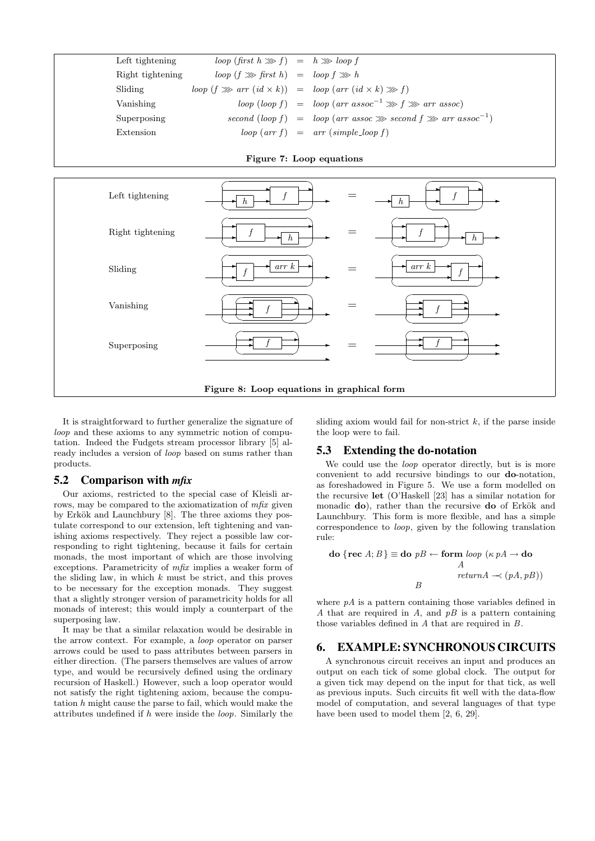| Left tightening  | $loop \, (first \, h \gg f) = h \gg loop \, f$                    |                                                                      |
|------------------|-------------------------------------------------------------------|----------------------------------------------------------------------|
| Right tightening | $loop (f \gg first h) = loop f \gg h$                             |                                                                      |
| Sliding          | $loop (f \gg arr (id \times k)) = loop (arr (id \times k) \gg f)$ |                                                                      |
| Vanishing        |                                                                   | $loop (loop f) = loop (arr assoc^{-1} \gg f \gg arr assoc)$          |
| Superposing      |                                                                   | second $(log p f) = log (arr assoc \gg second f \gg arr assoc^{-1})$ |
| Extension        |                                                                   | $loop (arr f) = arr (simple-loop f)$                                 |
|                  |                                                                   |                                                                      |



It is straightforward to further generalize the signature of loop and these axioms to any symmetric notion of computation. Indeed the Fudgets stream processor library [5] already includes a version of loop based on sums rather than products.

## 5.2 Comparison with *mfix*

Our axioms, restricted to the special case of Kleisli arrows, may be compared to the axiomatization of *mfix* given by Erkök and Launchbury  $[8]$ . The three axioms they postulate correspond to our extension, left tightening and vanishing axioms respectively. They reject a possible law corresponding to right tightening, because it fails for certain monads, the most important of which are those involving exceptions. Parametricity of mfix implies a weaker form of the sliding law, in which  $k$  must be strict, and this proves to be necessary for the exception monads. They suggest that a slightly stronger version of parametricity holds for all monads of interest; this would imply a counterpart of the superposing law.

It may be that a similar relaxation would be desirable in the arrow context. For example, a loop operator on parser arrows could be used to pass attributes between parsers in either direction. (The parsers themselves are values of arrow type, and would be recursively defined using the ordinary recursion of Haskell.) However, such a loop operator would not satisfy the right tightening axiom, because the computation  $h$  might cause the parse to fail, which would make the attributes undefined if h were inside the loop. Similarly the sliding axiom would fail for non-strict  $k$ , if the parse inside the loop were to fail.

#### 5.3 Extending the do-notation

We could use the *loop* operator directly, but is is more convenient to add recursive bindings to our do-notation, as foreshadowed in Figure 5. We use a form modelled on the recursive let (O'Haskell [23] has a similar notation for monadic do), rather than the recursive do of Erkök and Launchbury. This form is more flexible, and has a simple correspondence to loop, given by the following translation rule:

do {rec A; B } ≡ do pB ← form loop (κ pA → do A returnA −≺ (pA, pB)) B

where  $pA$  is a pattern containing those variables defined in A that are required in A, and  $pB$  is a pattern containing those variables defined in A that are required in B.

# 6. EXAMPLE: SYNCHRONOUS CIRCUITS

A synchronous circuit receives an input and produces an output on each tick of some global clock. The output for a given tick may depend on the input for that tick, as well as previous inputs. Such circuits fit well with the data-flow model of computation, and several languages of that type have been used to model them [2, 6, 29].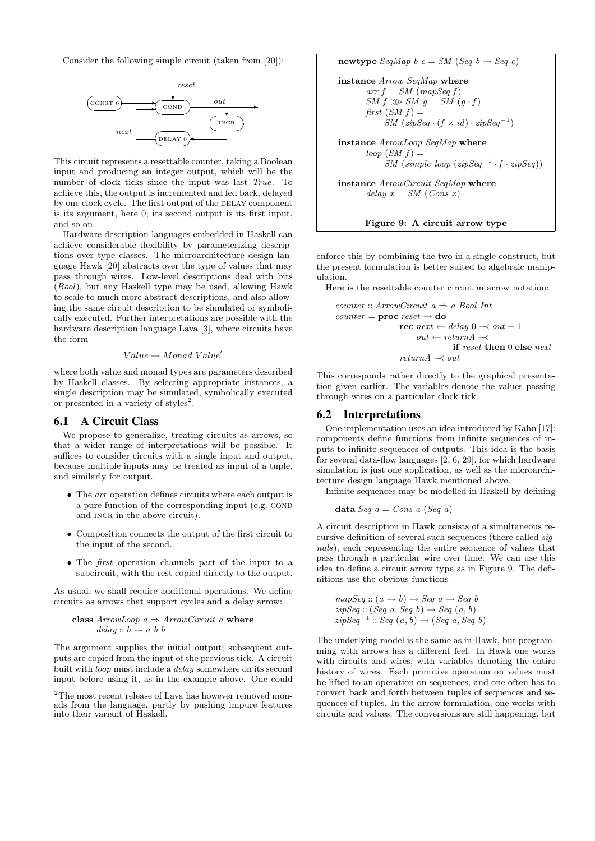Consider the following simple circuit (taken from [20]):



This circuit represents a resettable counter, taking a Boolean input and producing an integer output, which will be the number of clock ticks since the input was last True. To achieve this, the output is incremented and fed back, delayed by one clock cycle. The first output of the DELAY component is its argument, here 0; its second output is its first input, and so on.

Hardware description languages embedded in Haskell can achieve considerable flexibility by parameterizing descriptions over type classes. The microarchitecture design language Hawk [20] abstracts over the type of values that may pass through wires. Low-level descriptions deal with bits (Bool), but any Haskell type may be used, allowing Hawk to scale to much more abstract descriptions, and also allowing the same circuit description to be simulated or symbolically executed. Further interpretations are possible with the hardware description language Lava [3], where circuits have the form

$$
Value \rightarrow Monad\ Value'
$$

where both value and monad types are parameters described by Haskell classes. By selecting appropriate instances, a single description may be simulated, symbolically executed or presented in a variety of styles<sup>2</sup>.

## 6.1 A Circuit Class

We propose to generalize, treating circuits as arrows, so that a wider range of interpretations will be possible. It suffices to consider circuits with a single input and output, because multiple inputs may be treated as input of a tuple, and similarly for output.

- The arr operation defines circuits where each output is a pure function of the corresponding input (e.g. COND and INCR in the above circuit).
- Composition connects the output of the first circuit to the input of the second.
- The first operation channels part of the input to a subcircuit, with the rest copied directly to the output.

As usual, we shall require additional operations. We define circuits as arrows that support cycles and a delay arrow:

**class** ArrowLoop 
$$
a \Rightarrow ArrowCircuit a
$$
 where  
delay ::  $b \rightarrow a$  b b

The argument supplies the initial output; subsequent outputs are copied from the input of the previous tick. A circuit built with loop must include a delay somewhere on its second input before using it, as in the example above. One could

newtype  $SeqMap b c = SM (Seq b \rightarrow Seq c)$ 

instance Arrow SeqMap where  $arr f = SM (mapSeq f)$  $SM f \gg SM g = SM (g \cdot f)$ first  $(SM f) =$ SM  $(zipSeq \cdot (f \times id) \cdot zipSeq^{-1})$ instance ArrowLoop SeqMap where  $loop(SM f) =$ SM  $(simple\_loop (zipSeq^{-1} \cdot f \cdot zipSeq))$ instance ArrowCircuit SeqMap where  $delay x = SM (Cons x)$ 



enforce this by combining the two in a single construct, but the present formulation is better suited to algebraic manipulation.

Here is the resettable counter circuit in arrow notation:

$$
counter::ArrowCircuit a \Rightarrow a \; Bool \; Int
$$
  
counter = proc \; reset \rightarrow do  
rec \; next \leftarrow delay \; 0 \prec out + 1  
out \leftarrow return A \prec  
if \; reset \; then \; 0 \; else \; next  
return A \prec out

This corresponds rather directly to the graphical presentation given earlier. The variables denote the values passing through wires on a particular clock tick.

#### 6.2 Interpretations

One implementation uses an idea introduced by Kahn [17]: components define functions from infinite sequences of inputs to infinite sequences of outputs. This idea is the basis for several data-flow languages [2, 6, 29], for which hardware simulation is just one application, as well as the microarchitecture design language Hawk mentioned above.

Infinite sequences may be modelled in Haskell by defining

$$
data\;Seq\;a=Cons\;a\;(Seq\;a)
$$

A circuit description in Hawk consists of a simultaneous recursive definition of several such sequences (there called signals), each representing the entire sequence of values that pass through a particular wire over time. We can use this idea to define a circuit arrow type as in Figure 9. The definitions use the obvious functions

$$
mapSeq :: (a \rightarrow b) \rightarrow Seq \ a \rightarrow Seq \ b
$$
  
zipSeq :: (Seq a, Seq b) \rightarrow Seq (a, b)  
zipSeq<sup>-1</sup> :: Seq (a, b) \rightarrow (Seq a, Seq b)

The underlying model is the same as in Hawk, but programming with arrows has a different feel. In Hawk one works with circuits and wires, with variables denoting the entire history of wires. Each primitive operation on values must be lifted to an operation on sequences, and one often has to convert back and forth between tuples of sequences and sequences of tuples. In the arrow formulation, one works with circuits and values. The conversions are still happening, but

 $\overline{\text{2The most recent release of Lava has however removed mon-}$ ads from the language, partly by pushing impure features into their variant of Haskell.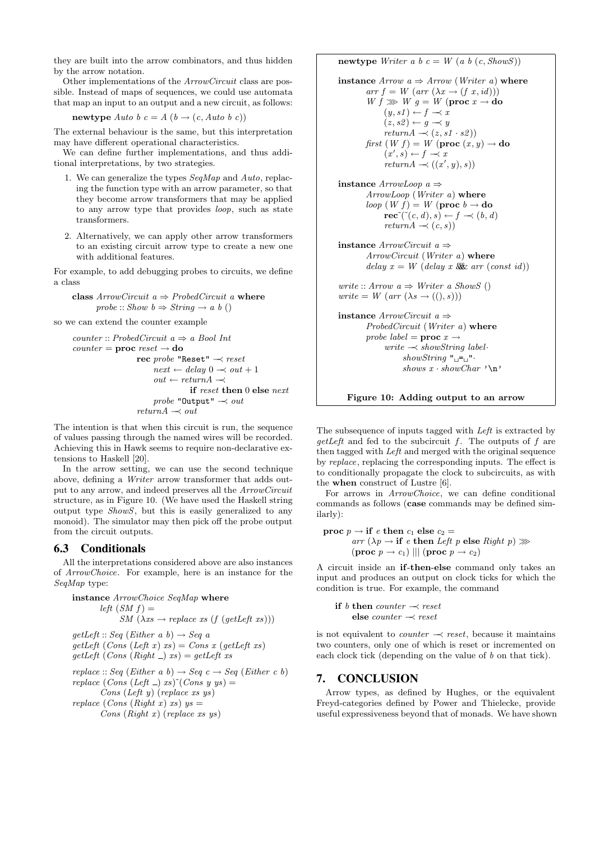they are built into the arrow combinators, and thus hidden by the arrow notation.

Other implementations of the ArrowCircuit class are possible. Instead of maps of sequences, we could use automata that map an input to an output and a new circuit, as follows:

newtype Auto b  $c = A (b \rightarrow (c, Auto b c))$ 

The external behaviour is the same, but this interpretation may have different operational characteristics.

We can define further implementations, and thus additional interpretations, by two strategies.

- 1. We can generalize the types  $SeqMap$  and  $Auto$ , replacing the function type with an arrow parameter, so that they become arrow transformers that may be applied to any arrow type that provides loop, such as state transformers.
- 2. Alternatively, we can apply other arrow transformers to an existing circuit arrow type to create a new one with additional features.

For example, to add debugging probes to circuits, we define a class

**class** ArrowCircuit 
$$
a \Rightarrow
$$
 *ProbedCircuit a* **where**  
*probe* :: Show  $b \Rightarrow$  String  $\rightarrow$  a  $b$  ()

so we can extend the counter example

$$
counter::ProbedCircuit\ a \Rightarrow a\ Bool\ Int
$$
\n
$$
counter = \textbf{proc}\ reset \rightarrow \textbf{do}
$$
\n
$$
\textbf{rec}\ probe\ "Reset" \rightarrow reset
$$
\n
$$
next \leftarrow delay\ 0 \rightarrow out + 1
$$
\n
$$
out \leftarrow return A \rightarrow
$$
\n
$$
\text{if} \ reset\ \textbf{then}\ 0\ \textbf{else}\ next
$$
\n
$$
probe\ "Output" \rightarrow out
$$
\n
$$
return A \rightarrow out
$$

The intention is that when this circuit is run, the sequence of values passing through the named wires will be recorded. Achieving this in Hawk seems to require non-declarative extensions to Haskell [20].

In the arrow setting, we can use the second technique above, defining a Writer arrow transformer that adds output to any arrow, and indeed preserves all the ArrowCircuit structure, as in Figure 10. (We have used the Haskell string output type ShowS, but this is easily generalized to any monoid). The simulator may then pick off the probe output from the circuit outputs.

# 6.3 Conditionals

All the interpretations considered above are also instances of ArrowChoice. For example, here is an instance for the SeqMap type:

$$
\begin{array}{ll}\n\textbf{instance} \, ArrowChoice \, SeqMap \, \textbf{where} \\
\quad left \, (SM \, f) = \\
\quad SM \, (\lambda xs \to replace \, xs \, (f \, (getLeft \, xs))) \\
\textbf{getLeft} :: Seq \, (Either \, a \, b) \to Seq \, a \\
\textbf{getLeft} \, (Cons \, (Left \, x) \, xs) = Cons \, x \, (getLeft \, xs) \\
\textbf{getLeft} \, (Cons \, (Right \, \_) \, xs) = getLeft \, xs \\
\textbf{replace} :: Seq \, (Either \, a \, b) \to Seq \, c \to Seq \, (Either \, c \, b) \\
\textbf{replace} \, (Cons \, (Left \, \_) \, xs) \, (Cons \, y \, ss) = \\
\quad \quad Cons \, (Left \, y) \, (replace \, xs \, ys) \\
\textbf{replace} \, (Cons \, (Right \, x) \, xs) \, ys = \\
\quad \quad Cons \, (Right \, x) \, (replace \, xs \, ys)\n\end{array}
$$

newtype *Writer*  $a \, b \, c = W$   $(a \, b \, (c, \text{ShowS}))$ 

$$
\begin{array}{ll}\n\textbf{instance} \quad \textit{Arrow} \quad a \Rightarrow \quad \textit{Arrow} \quad (Writer \quad a) \text{ where} \\
 & \quad \textit{arr } f = W \quad (\textit{arr } (\lambda x \rightarrow (f \ x, id))) \\
 & W \quad f \gg W \quad g = W \quad (\textbf{proc } x \rightarrow \textbf{do} \\
 & (y, s1) \leftarrow f \rightarrow x \\
 & (z, s2) \leftarrow g \rightarrow y \\
 & \quad \textit{return } A \rightarrow (z, s1 \cdot s2)) \\
 & \quad \textit{first } (W \quad f) = W \quad (\textbf{proc } (x, y) \rightarrow \textbf{do} \\
 & (x', s) \leftarrow f \rightarrow x \\
 & \quad \textit{return } A \rightarrow ((x', y), s)) \\
 \textbf{instance} \quad \textit{ArrowLoop} \quad a \Rightarrow \\
 & \quad \textit{ArrowLoop} \quad (Writer \quad a) \text{ where} \\
 & \quad \textit{loop } (W \quad f) = W \quad (\textbf{proc } b \rightarrow \textbf{do} \\
 & \quad \textbf{rec} \left( \left( \left( \right, c, d \right), s \right) \leftarrow f \rightarrow (b, d) \\
 & \quad \textit{return } A \rightarrow (c, s) \\
 \textbf{instance} \quad \textit{ArrowCircuit} \quad a \Rightarrow \\
 & \quad \textit{ArrowCircuit} \quad (Writer \quad a) \text{ where} \\
 & \quad \textit{delay } x = W \quad (\textit{delay } x \text{ 888} \text{ arr } (\textit{const } id)) \\
 & \quad \textit{write} \therefore \quad \textit{Arrow } a \Rightarrow \textit{Write } a \quad \textit{Show } S \quad () \\
 & \quad \textit{write} \quad = W \quad (\textit{arr } (\lambda s \rightarrow ((), s))) \\
 & \quad \textbf{instance } \quad \textit{ArrowCircuit} \quad a \Rightarrow \\
 & \quad \textit{Problem } \quad \textit{Power} \quad \textit{where} \\
 & \quad \textit{probe} \quad \textit{div} \quad \textit{H} \quad \textit{show String label} \quad \textit{showString label} \quad \textit{showString } \textit{m} \sqcup \textit{u} \sqcup \textit{v}.\n \end{array}
$$

shows  $x \cdot showChar \rightarrow \nightharpoonup$ 

Figure 10: Adding output to an arrow

The subsequence of inputs tagged with Left is extracted by  $getLeft$  and fed to the subcircuit f. The outputs of f are then tagged with Left and merged with the original sequence by replace, replacing the corresponding inputs. The effect is to conditionally propagate the clock to subcircuits, as with the when construct of Lustre [6].

For arrows in ArrowChoice, we can define conditional commands as follows (case commands may be defined similarly):

proc  $p \rightarrow$  if e then  $c_1$  else  $c_2 =$ arr  $(\lambda p \rightarrow \text{if } e \text{ then } \text{Left } p \text{ else } \text{Right } p) \gg$ (proc  $p \rightarrow c_1$ ) ||| (proc  $p \rightarrow c_2$ )

A circuit inside an if-then-else command only takes an input and produces an output on clock ticks for which the condition is true. For example, the command

if b then counter  $\rightarrow$  reset else counter −≺ reset

is not equivalent to *counter*  $\rightarrow$  reset, because it maintains two counters, only one of which is reset or incremented on each clock tick (depending on the value of b on that tick).

# 7. CONCLUSION

Arrow types, as defined by Hughes, or the equivalent Freyd-categories defined by Power and Thielecke, provide useful expressiveness beyond that of monads. We have shown